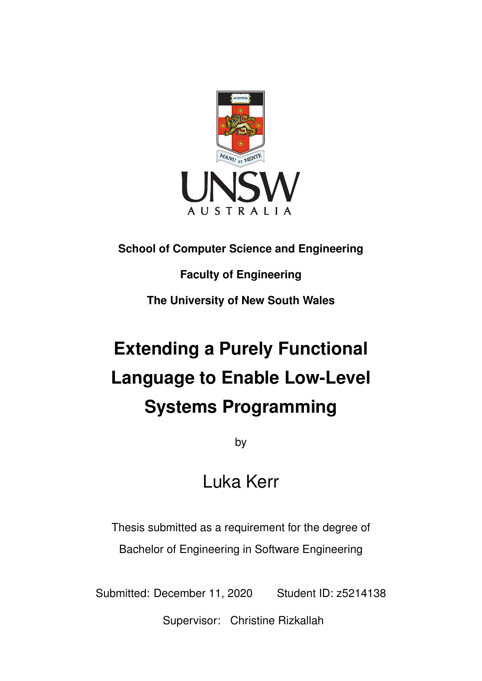

# **School of Computer Science and Engineering**

# **Faculty of Engineering**

**The University of New South Wales**

# **Extending a Purely Functional Language to Enable Low-Level Systems Programming**

by

# Luka Kerr

Thesis submitted as a requirement for the degree of Bachelor of Engineering in Software Engineering

Submitted: December 11, 2020 Student ID: z5214138

Supervisor: Christine Rizkallah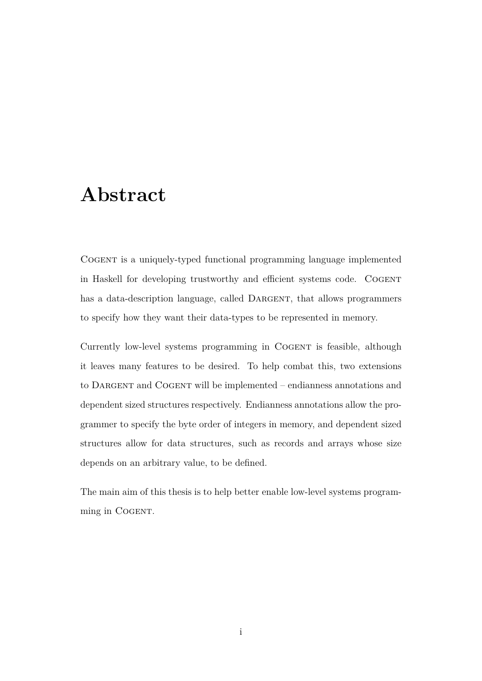# **Abstract**

Cogent is a uniquely-typed functional programming language implemented in Haskell for developing trustworthy and efficient systems code. COGENT has a data-description language, called DARGENT, that allows programmers to specify how they want their data-types to be represented in memory.

Currently low-level systems programming in COGENT is feasible, although it leaves many features to be desired. To help combat this, two extensions to DARGENT and COGENT will be implemented – endianness annotations and dependent sized structures respectively. Endianness annotations allow the programmer to specify the byte order of integers in memory, and dependent sized structures allow for data structures, such as records and arrays whose size depends on an arbitrary value, to be defined.

The main aim of this thesis is to help better enable low-level systems programming in COGENT.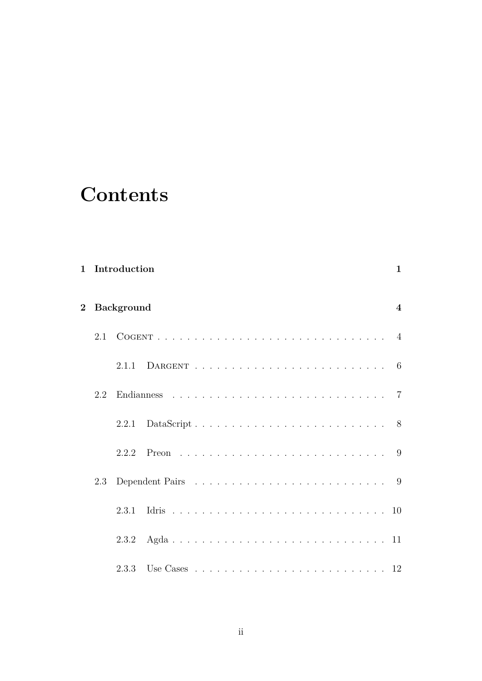# **Contents**

| $\mathbf{1}$   |     | Introduction      |  | $\mathbf{1}$            |
|----------------|-----|-------------------|--|-------------------------|
| $\overline{2}$ |     | <b>Background</b> |  | $\overline{\mathbf{4}}$ |
|                | 2.1 |                   |  |                         |
|                |     | 2.1.1             |  |                         |
|                | 2.2 |                   |  |                         |
|                |     | 2.2.1             |  |                         |
|                |     | 2.2.2             |  |                         |
|                | 2.3 |                   |  |                         |
|                |     | 2.3.1             |  |                         |
|                |     |                   |  |                         |
|                |     |                   |  |                         |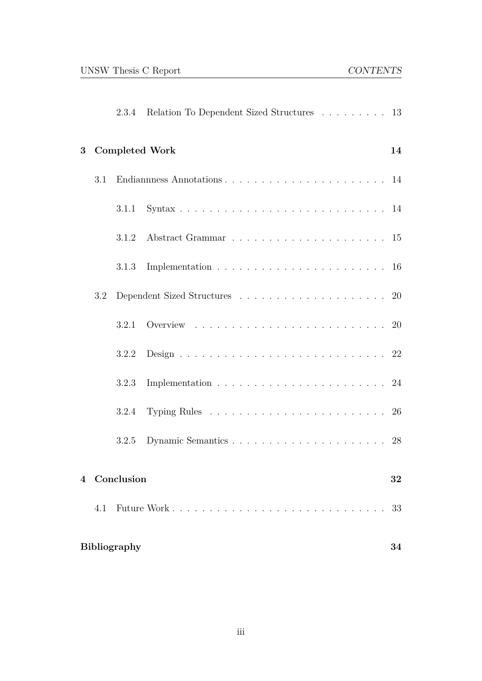|                |     | 2.3.4               | Relation To Dependent Sized Structures 13                                                                                              |    |
|----------------|-----|---------------------|----------------------------------------------------------------------------------------------------------------------------------------|----|
| $\bf{3}$       |     |                     | <b>Completed Work</b>                                                                                                                  | 14 |
|                | 3.1 |                     |                                                                                                                                        |    |
|                |     | 3.1.1               |                                                                                                                                        |    |
|                |     | 3.1.2               |                                                                                                                                        |    |
|                |     | 3.1.3               |                                                                                                                                        |    |
|                | 3.2 |                     | $\emph{Dependent Sized Structures}\quad \ldots \quad \ldots \quad \ldots \quad \ldots \quad \ldots \quad \ldots \quad \quad \text{20}$ |    |
|                |     | 3.2.1               |                                                                                                                                        |    |
|                |     | 3.2.2               |                                                                                                                                        |    |
|                |     | 3.2.3               | Implementation $\ldots \ldots \ldots \ldots \ldots \ldots \ldots \ldots 24$                                                            |    |
|                |     | 3.2.4               | Typing Rules $\ldots \ldots \ldots \ldots \ldots \ldots \ldots \ldots 26$                                                              |    |
|                |     | 3.2.5               |                                                                                                                                        |    |
| $\overline{4}$ |     | Conclusion          |                                                                                                                                        | 32 |
|                | 4.1 |                     |                                                                                                                                        | 33 |
|                |     | <b>Bibliography</b> |                                                                                                                                        | 34 |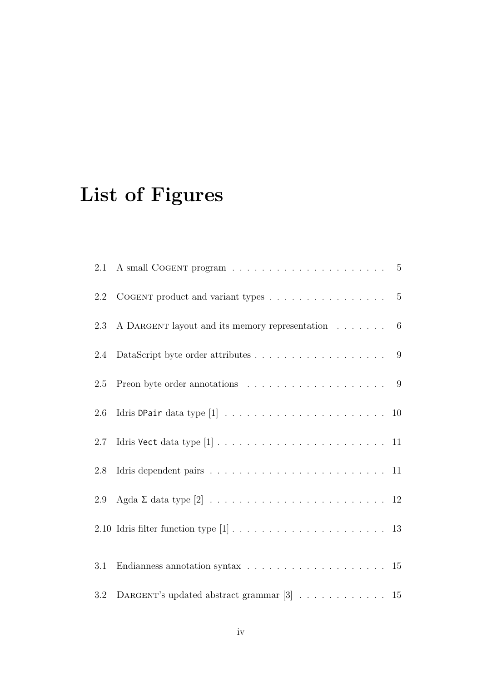# **List of Figures**

| 2.1 |                                                                                           |
|-----|-------------------------------------------------------------------------------------------|
| 2.2 | COGENT product and variant types $\ldots \ldots \ldots \ldots \ldots$ 5                   |
| 2.3 | A DARGENT layout and its memory representation $\dots \dots$ 6                            |
| 2.4 |                                                                                           |
| 2.5 | Preon byte order annotations $\ldots \ldots \ldots \ldots \ldots \ldots$ 9                |
| 2.6 |                                                                                           |
| 2.7 |                                                                                           |
| 2.8 | Idris dependent pairs $\ldots \ldots \ldots \ldots \ldots \ldots \ldots \ldots \ldots 11$ |
| 2.9 |                                                                                           |
|     |                                                                                           |
| 3.1 | Endianness annotation syntax $\ldots \ldots \ldots \ldots \ldots \ldots \ldots 15$        |
| 3.2 | DARGENT's updated abstract grammar [3] $\ldots \ldots \ldots \ldots \ldots$ 15            |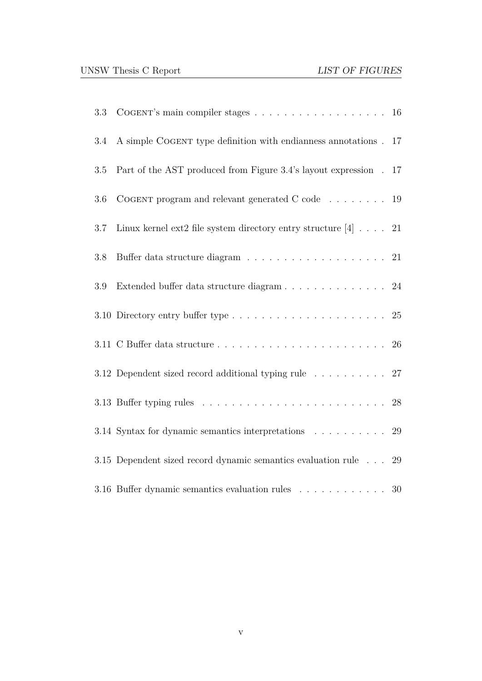| 3.3 | COGENT's main compiler stages $\ldots \ldots \ldots \ldots \ldots \ldots \ldots 16$    |    |
|-----|----------------------------------------------------------------------------------------|----|
| 3.4 | A simple COGENT type definition with endianness annotations.                           | 17 |
| 3.5 | Part of the AST produced from Figure 3.4's layout expression.                          | 17 |
| 3.6 | COGENT program and relevant generated C code $\ldots \ldots \ldots$ 19                 |    |
| 3.7 | Linux kernel ext2 file system directory entry structure $[4]$ 21                       |    |
| 3.8 |                                                                                        |    |
| 3.9 | Extended buffer data structure diagram 24                                              |    |
|     | 3.10 Directory entry buffer type $\ldots \ldots \ldots \ldots \ldots \ldots \ldots$ 25 |    |
|     |                                                                                        |    |
|     | 3.12 Dependent sized record additional typing rule 27                                  |    |
|     |                                                                                        |    |
|     | 3.14 Syntax for dynamic semantics interpretations 29                                   |    |
|     | 3.15 Dependent sized record dynamic semantics evaluation rule                          | 29 |
|     | 3.16 Buffer dynamic semantics evaluation rules 30                                      |    |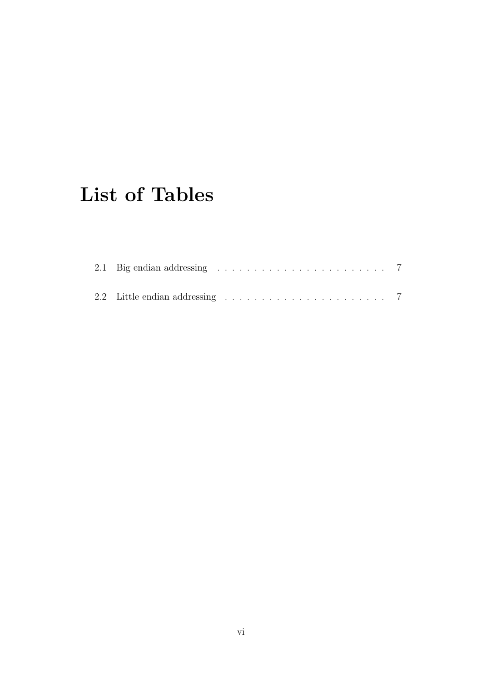# **List of Tables**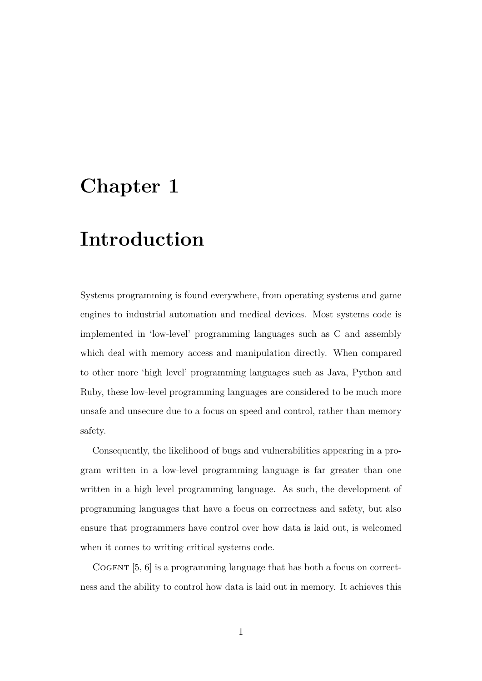# <span id="page-7-0"></span>**Chapter 1**

# **Introduction**

Systems programming is found everywhere, from operating systems and game engines to industrial automation and medical devices. Most systems code is implemented in 'low-level' programming languages such as C and assembly which deal with memory access and manipulation directly. When compared to other more 'high level' programming languages such as Java, Python and Ruby, these low-level programming languages are considered to be much more unsafe and unsecure due to a focus on speed and control, rather than memory safety.

Consequently, the likelihood of bugs and vulnerabilities appearing in a program written in a low-level programming language is far greater than one written in a high level programming language. As such, the development of programming languages that have a focus on correctness and safety, but also ensure that programmers have control over how data is laid out, is welcomed when it comes to writing critical systems code.

COGENT  $[5, 6]$  is a programming language that has both a focus on correctness and the ability to control how data is laid out in memory. It achieves this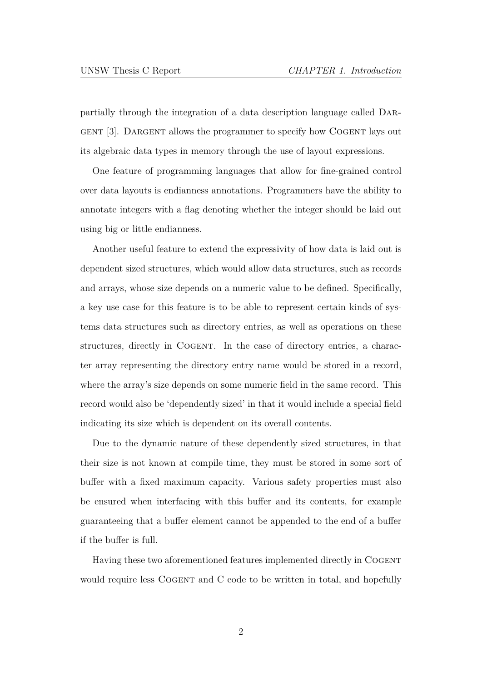partially through the integration of a data description language called Dargent [3]. Dargent allows the programmer to specify how Cogent lays out its algebraic data types in memory through the use of layout expressions.

One [f](#page-40-0)eature of programming languages that allow for fine-grained control over data layouts is endianness annotations. Programmers have the ability to annotate integers with a flag denoting whether the integer should be laid out using big or little endianness.

Another useful feature to extend the expressivity of how data is laid out is dependent sized structures, which would allow data structures, such as records and arrays, whose size depends on a numeric value to be defined. Specifically, a key use case for this feature is to be able to represent certain kinds of systems data structures such as directory entries, as well as operations on these structures, directly in Cogent. In the case of directory entries, a character array representing the directory entry name would be stored in a record, where the array's size depends on some numeric field in the same record. This record would also be 'dependently sized' in that it would include a special field indicating its size which is dependent on its overall contents.

Due to the dynamic nature of these dependently sized structures, in that their size is not known at compile time, they must be stored in some sort of buffer with a fixed maximum capacity. Various safety properties must also be ensured when interfacing with this buffer and its contents, for example guaranteeing that a buffer element cannot be appended to the end of a buffer if the buffer is full.

Having these two aforementioned features implemented directly in Cogent would require less COGENT and C code to be written in total, and hopefully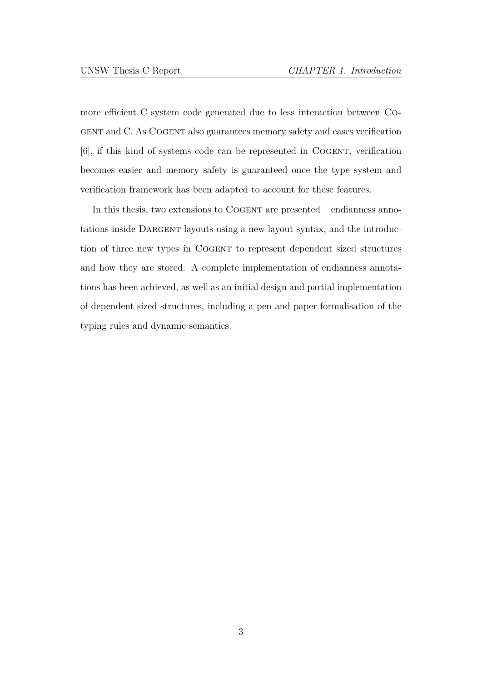more efficient C system code generated due to less interaction between Cogent and C. As Cogent also guarantees memory safety and eases verification [6], if this kind of systems code can be represented in COGENT, verification becomes easier and memory safety is guaranteed once the type system and [ve](#page-40-1)rification framework has been adapted to account for these features.

In this thesis, two extensions to COGENT are presented – endianness annotations inside DARGENT layouts using a new layout syntax, and the introduction of three new types in Cogent to represent dependent sized structures and how they are stored. A complete implementation of endianness annotations has been achieved, as well as an initial design and partial implementation of dependent sized structures, including a pen and paper formalisation of the typing rules and dynamic semantics.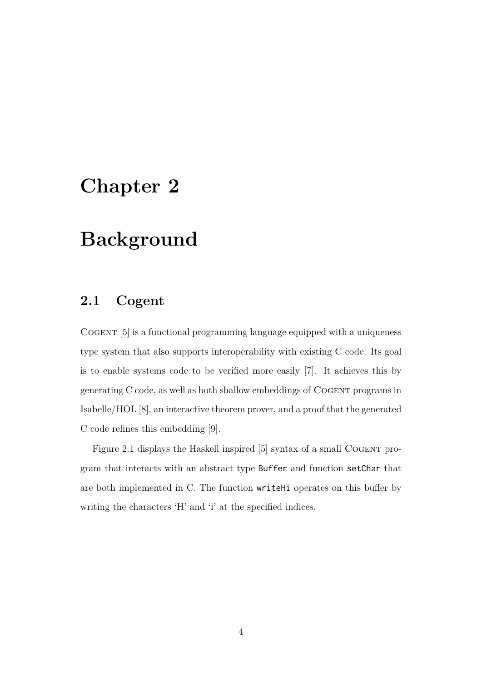# **Chapter 2**

# **Background**

# **2.1 Cogent**

Cogent [5] is a functional programming language equipped with a uniqueness type system that also supports interoperability with existing C code. Its goal is to ena[ble](#page-40-2) systems code to be verified more easily [7]. It achieves this by generating C code, as well as both shallow embeddings of Cogent programs in Isabelle/HOL [8], an interactive theorem prover, and a [pr](#page-40-3)oof that the generated C code refines this embedding [9].

Figure 2.1 [dis](#page-41-0)plays the Haskell inspired [5] syntax of a small COGENT program that interacts with an ab[st](#page-41-1)ract type Buffer and function setChar that ar[e both imp](#page-11-0)lemented in C. The function [wr](#page-40-2)iteHi operates on this buffer by writing the characters 'H' and 'i' at the specified indices.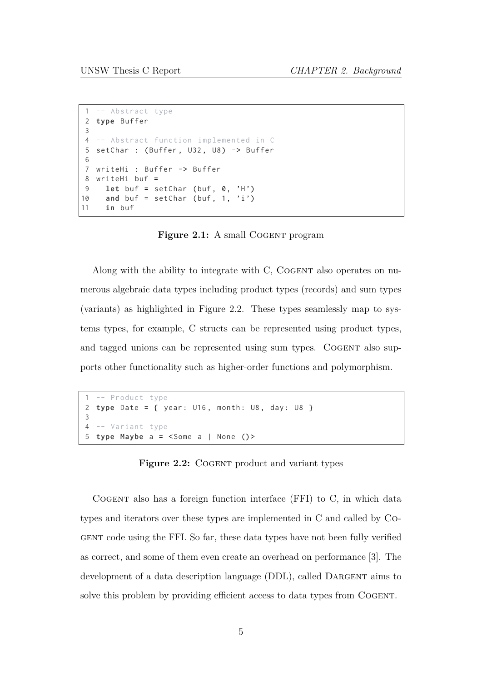```
1 -- Abstract type
2 type Buffer
3
4 -- Abstract function implemented in C
5 setChar : ( Buffer , U32 , U8) -> Buffer
6
7 writeHi : Buffer -> Buffer
8 writeHi buf =
9 let buf = setChar (buf, 0, 'H')
10 and buf = setChar (buf, 1, 'i')
11 in buf
```
**Figure 2.1:** A small COGENT program

Along with the ability to integrate with C, COGENT also operates on numerous algebraic data types including product types (records) and sum types (variants) as highlighted in Figure 2.2. These types seamlessly map to systems types, for example, C structs can be represented using product types, and tagged unions can be r[epresented](#page-11-1) using sum types. COGENT also supports other functionality such as higher-order functions and polymorphism.

```
1 -- Product type
2 type Date = { year: U16, month: U8, day: U8 }
3
4 -- Variant type
5 type Maybe a = <Some a | None () >
```
**Figure 2.2:** COGENT product and variant types

Cogent also has a foreign function interface (FFI) to C, in which data types and iterators over these types are implemented in C and called by Cogent code using the FFI. So far, these data types have not been fully verified as correct, and some of them even create an overhead on performance [3]. The development of a data description language (DDL), called DARGENT aims to solve this problem by providin[g](#page-40-0) efficient access to data types from COGENT.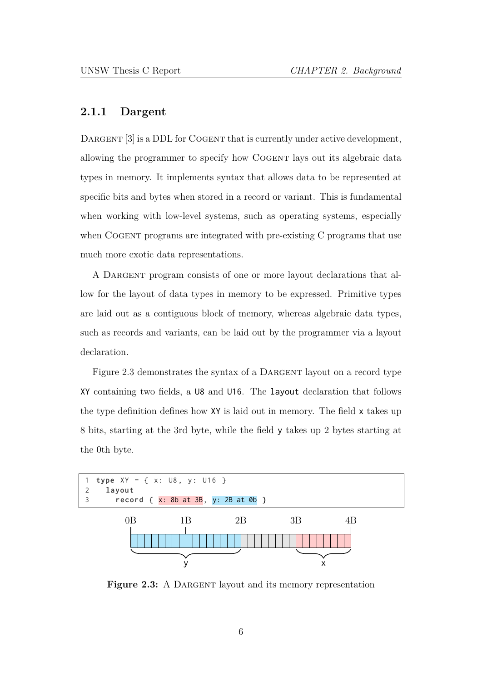### **2.1.1 Dargent**

DARGENT [3] is a DDL for COGENT that is currently under active development, allowing the programmer to specify how COGENT lays out its algebraic data types in m[em](#page-40-0)ory. It implements syntax that allows data to be represented at specific bits and bytes when stored in a record or variant. This is fundamental when working with low-level systems, such as operating systems, especially when COGENT programs are integrated with pre-existing C programs that use much more exotic data representations.

A Dargent program consists of one or more layout declarations that allow for the layout of data types in memory to be expressed. Primitive types are laid out as a contiguous block of memory, whereas algebraic data types, such as records and variants, can be laid out by the programmer via a layout declaration.

Figure 2.3 demonstrates the syntax of a DARGENT layout on a record type XY containing two fields, a U8 and U16. The layout declaration that follows th[e type defin](#page-12-0)ition defines how XY is laid out in memory. The field x takes up 8 bits, starting at the 3rd byte, while the field y takes up 2 bytes starting at the 0th byte.

<span id="page-12-0"></span>

**Figure 2.3:** A DARGENT layout and its memory representation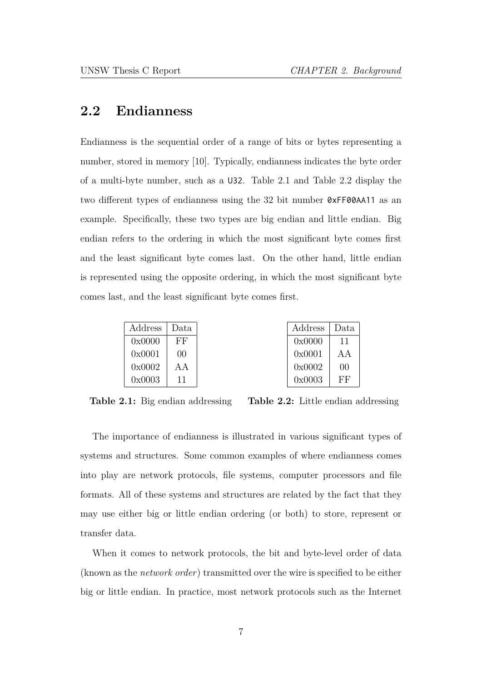# **2.2 Endianness**

Endianness is the sequential order of a range of bits or bytes representing a number, stored in memory [10]. Typically, endianness indicates the byte order of a multi-byte number, such as a U32. Table 2.1 and Table 2.2 display the two different types of endi[ann](#page-41-2)ess using the 32 bit number 0xFF00AA11 as an example. Specifically, these two types a[re big end](#page-13-0)ian [and little e](#page-13-0)ndian. Big endian refers to the ordering in which the most significant byte comes first and the least significant byte comes last. On the other hand, little endian is represented using the opposite ordering, in which the most significant byte comes last, and the least significant byte comes first.

| Address | Data |
|---------|------|
| 0x0000  | FF   |
| 0x0001  | 00   |
| 0x0002  | A A  |
| 0x0003  | 11   |

| Address | Data |
|---------|------|
| 0x0000  | 11   |
| 0x0001  | A A  |
| 0x0002  | 00   |
| 0x0003  | ĿЬ,  |

<span id="page-13-0"></span>**Table 2.1:** Big endian addressing

**Table 2.2:** Little endian addressing

The importance of endianness is illustrated in various significant types of systems and structures. Some common examples of where endianness comes into play are network protocols, file systems, computer processors and file formats. All of these systems and structures are related by the fact that they may use either big or little endian ordering (or both) to store, represent or transfer data.

When it comes to network protocols, the bit and byte-level order of data (known as the *network order*) transmitted over the wire is specified to be either big or little endian. In practice, most network protocols such as the Internet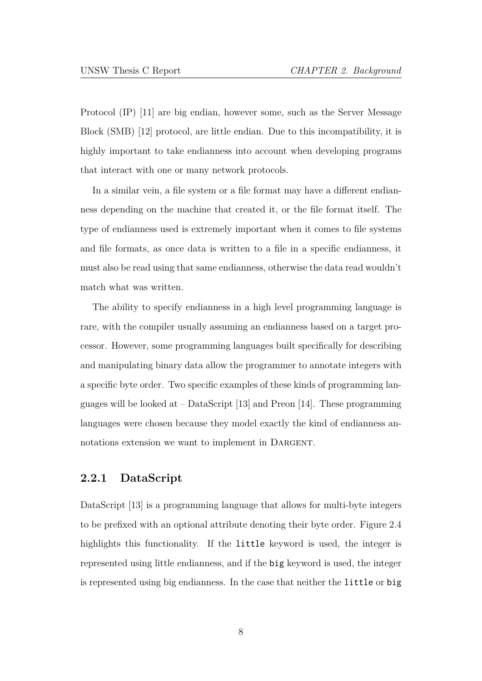Protocol (IP) [11] are big endian, however some, such as the Server Message Block (SMB) [12] protocol, are little endian. Due to this incompatibility, it is highly importa[nt](#page-41-3) to take endianness into account when developing programs that interact [with](#page-41-4) one or many network protocols.

In a similar vein, a file system or a file format may have a different endianness depending on the machine that created it, or the file format itself. The type of endianness used is extremely important when it comes to file systems and file formats, as once data is written to a file in a specific endianness, it must also be read using that same endianness, otherwise the data read wouldn't match what was written.

The ability to specify endianness in a high level programming language is rare, with the compiler usually assuming an endianness based on a target processor. However, some programming languages built specifically for describing and manipulating binary data allow the programmer to annotate integers with a specific byte order. Two specific examples of these kinds of programming languages will be looked at  $-$  DataScript [13] and Preon [14]. These programming languages were chosen because they model exactly the kind of endianness annotations extension we want to imple[men](#page-41-5)t in DARGENT.

## **2.2.1 DataScript**

DataScript [13] is a programming language that allows for multi-byte integers to be prefixed with an optional attribute denoting their byte order. Figure 2.4 highlights t[his](#page-41-5) functionality. If the little keyword is used, the integer is represented using little endianness, and if the big keyword is used, [the integer](#page-15-0) is represented using big endianness. In the case that neither the little or big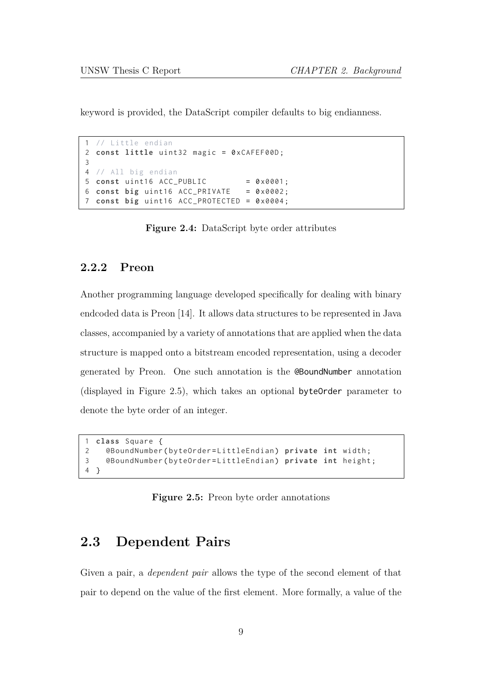keyword is provided, the DataScript compiler defaults to big endianness.

```
// Little endian
2 const little uint32 magic = 0 xCAFEF00D ;
3
4 // All big endian
5 const uint16 ACC_PUBLIC = 0 \times 0001;
6 const big uint16 ACC_PRIVATE = 0 x0002 ;
7 const big uint16 ACC_PROTECTED = 0 x0004 ;
```
**Figure 2.4:** DataScript byte order attributes

### **2.2.2 Preon**

Another programming language developed specifically for dealing with binary endcoded data is Preon [14]. It allows data structures to be represented in Java classes, accompanied by a variety of annotations that are applied when the data structure is mapped ont[o a](#page-41-6) bitstream encoded representation, using a decoder generated by Preon. One such annotation is the @BoundNumber annotation (displayed in Figure 2.5), which takes an optional byteOrder parameter to denote the byte order of an integer.

```
1 class Square {
2 @BoundNumber ( byteOrder = LittleEndian ) private int width ;
3 @BoundNumber ( byteOrder = LittleEndian ) private int height ;
4 }
```
**Figure 2.5:** Preon byte order annotations

# **2.3 Dependent Pairs**

Given a pair, a *dependent pair* allows the type of the second element of that pair to depend on the value of the first element. More formally, a value of the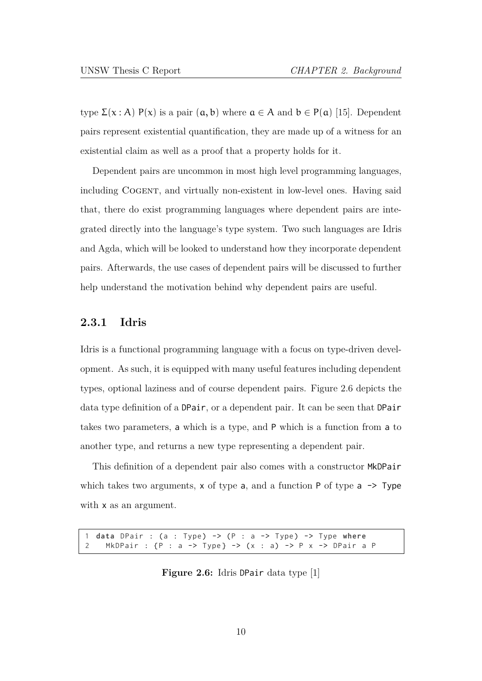type  $\Sigma(x : A)$  P(x) is a pair  $(a, b)$  where  $a \in A$  and  $b \in P(a)$  [15]. Dependent pairs represent existential quantification, they are made up of a witness for an existential claim as well as a proof that a property holds for i[t.](#page-41-7)

Dependent pairs are uncommon in most high level programming languages, including Cogent, and virtually non-existent in low-level ones. Having said that, there do exist programming languages where dependent pairs are integrated directly into the language's type system. Two such languages are Idris and Agda, which will be looked to understand how they incorporate dependent pairs. Afterwards, the use cases of dependent pairs will be discussed to further help understand the motivation behind why dependent pairs are useful.

# **2.3.1 Idris**

Idris is a functional programming language with a focus on type-driven development. As such, it is equipped with many useful features including dependent [types](https://idris-lang.org), optional laziness and of course dependent pairs. Figure 2.6 depicts the data type definition of a DPair, or a dependent pair. It can be seen that DPair takes two parameters, a which is a type, and P which i[s a functio](#page-16-0)n from a to another type, and returns a new type representing a dependent pair.

This definition of a dependent pair also comes with a constructor MkDPair which takes two arguments, x of type a, and a function  $P$  of type a  $\rightarrow$  Type with **x** as an argument.

<span id="page-16-0"></span>1 **data** DPair : (a : Type ) -> (P : a -> Type ) -> Type **where** 2 MkDPair : {P : a -> Type} -> (x : a) -> P x -> DPair a P

**Figure 2.6:** Idris DPair data type [1]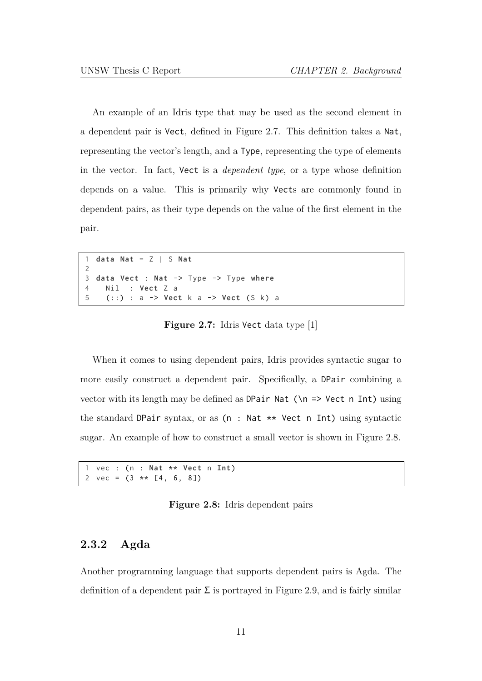An example of an Idris type that may be used as the second element in a dependent pair is Vect, defined in Figure 2.7. This definition takes a Nat, representing the vector's length, and a Type, representing the type of elements in the vector. In fact, Vect is a *de[pendent typ](#page-17-0)e*, or a type whose definition depends on a value. This is primarily why Vects are commonly found in dependent pairs, as their type depends on the value of the first element in the pair.

```
1 data Nat = Z | S Nat
2
3 data Vect : Nat -> Type -> Type where
4 Nil : Vect Z a
5 (::) : a -> Vect k a -> Vect (S k) a
```
**Figure 2.7:** Idris Vect data type [1]

When it comes to using dependent pairs, Idris prov[id](#page-40-4)es syntactic sugar to more easily construct a dependent pair. Specifically, a DPair combining a vector with its length may be defined as DPair Nat  $(\n\times$  > Vect n Int) using the standard DPair syntax, or as (n : Nat \*\* Vect n Int) using syntactic sugar. An example of how to construct a small vector is shown in Figure 2.8.

```
1 vec : (n : Nat ** Vect n Int )
2 vec = (3 \times \times [4, 6, 8])
```
**Figure 2.8:** Idris dependent pairs

# **2.3.2 Agda**

Another programming language that supports dependent pairs is Agda. The definition of a dependent pair  $\Sigma$  is portrayed in Figure 2.9, and is fairly similar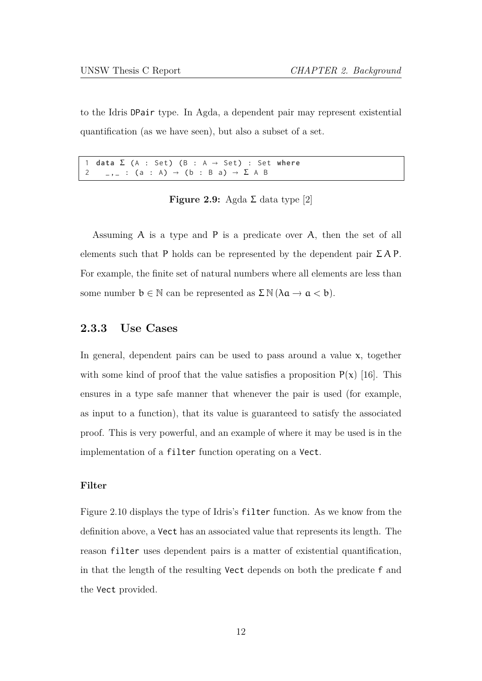to the Idris DPair type. In Agda, a dependent pair may represent existential quantification (as we have seen), but also a subset of a set.

```
1 data \Sigma (A : Set) (B : A \rightarrow Set) : Set where<br>2 _,_ : (a : A) \rightarrow (b : B a) \rightarrow \Sigma A B
           \overline{a}, \overline{a} : (a : A) \rightarrow (b : B a) \rightarrow \Sigma A B
```
### **Figure 2.9:** Agda  $\Sigma$  data type [2]

Assuming A is a type and P is a predicate over [A](#page-40-5), then the set of all elements such that P holds can be represented by the dependent pair  $\Sigma A P$ . For example, the finite set of natural numbers where all elements are less than some number  $b \in \mathbb{N}$  can be represented as  $\Sigma \mathbb{N} (\lambda a \to a < b)$ .

### **2.3.3 Use Cases**

In general, dependent pairs can be used to pass around a value  $x$ , together with some kind of proof that the value satisfies a proposition  $P(x)$  [16]. This ensures in a type safe manner that whenever the pair is used (for example, as input to a function), that its value is guaranteed to satisfy the [asso](#page-41-8)ciated proof. This is very powerful, and an example of where it may be used is in the implementation of a filter function operating on a Vect.

### **Filter**

Figure 2.10 displays the type of Idris's filter function. As we know from the definition above, a Vect has an associated value that represents its length. The [reason](#page-19-1) filter uses dependent pairs is a matter of existential quantification, in that the length of the resulting Vect depends on both the predicate f and the Vect provided.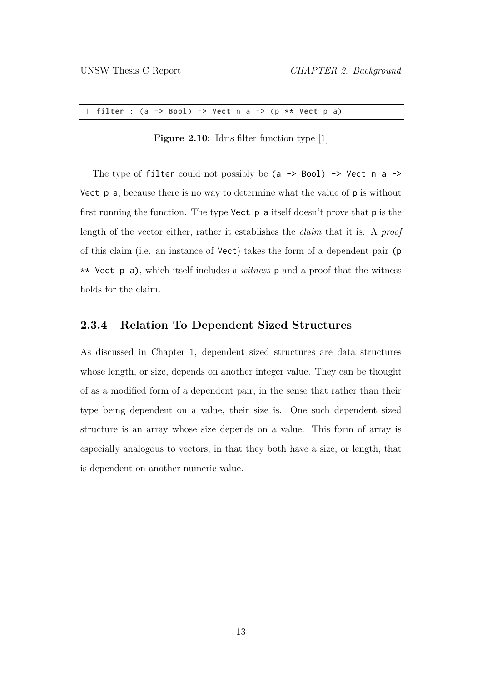<span id="page-19-1"></span>1 **filter** : (a -> **Bool** ) -> **Vect** n a -> (p \*\* **Vect** p a)

**Figure 2.10:** Idris filter function type [1]

The type of filter could not possibly be (a -> Boo[l\)](#page-40-4) -> Vect n a -> Vect p a, because there is no way to determine what the value of p is without first running the function. The type **Vect**  $p$  a itself doesn't prove that  $p$  is the length of the vector either, rather it establishes the *claim* that it is. A *proof* of this claim (i.e. an instance of Vect) takes the form of a dependent pair (p \*\* Vect p a), which itself includes a *witness* p and a proof that the witness holds for the claim.

### **2.3.4 Relation To Dependent Sized Structures**

<span id="page-19-0"></span>As discussed in Chapter 1, dependent sized structures are data structures whose length, or size, depends on another integer value. They can be thought of as a modified [form of a d](#page-7-0)ependent pair, in the sense that rather than their type being dependent on a value, their size is. One such dependent sized structure is an array whose size depends on a value. This form of array is especially analogous to vectors, in that they both have a size, or length, that is dependent on another numeric value.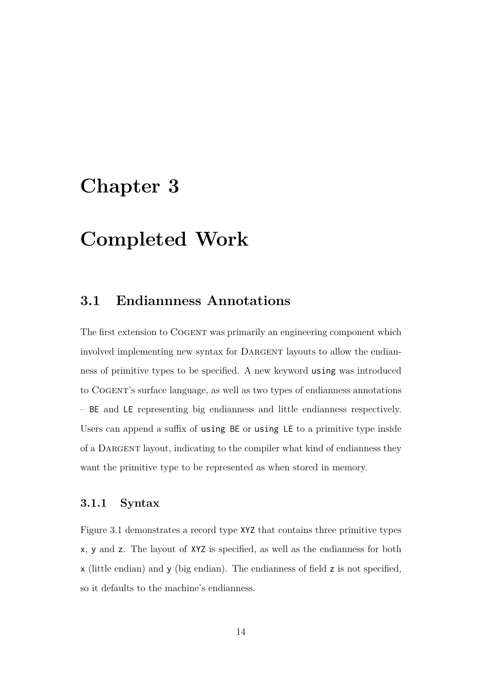# **Chapter 3**

# **Completed Work**

# **3.1 Endiannness Annotations**

The first extension to Cogent was primarily an engineering component which involved implementing new syntax for DARGENT layouts to allow the endianness of primitive types to be specified. A new keyword using was introduced to Cogent's surface language, as well as two types of endianness annotations – BE and LE representing big endianness and little endianness respectively. Users can append a suffix of using BE or using LE to a primitive type inside of a Dargent layout, indicating to the compiler what kind of endianness they want the primitive type to be represented as when stored in memory.

# **3.1.1 Syntax**

Figure 3.1 demonstrates a record type XYZ that contains three primitive types x, y and z. The layout of XYZ is specified, as well as the endianness for both x [\(little en](#page-21-1)dian) and y (big endian). The endianness of field z is not specified, so it defaults to the machine's endianness.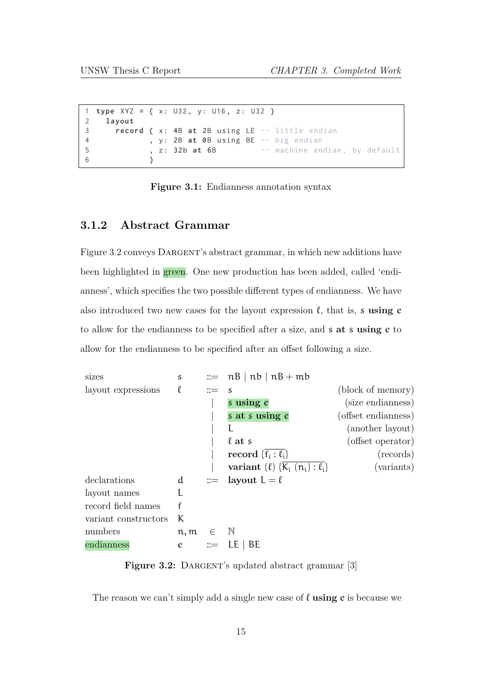```
1 type XYZ = { x: U32 , y: U16 , z: U32 }
2 layout
3 record { x: 4B at 2B using LE -- little endian
4 , y: 2B at 0B using BE -- big endian
5 , z: 32b at 6B -- machine endian, by default
6 }
```
**Figure 3.1:** Endianness annotation syntax

### **3.1.2 Abstract Grammar**

Figure 3.2 conveys DARGENT's abstract grammar, in which new additions have been highlighted in green. One new production has been added, called 'endi[anness', w](#page-21-0)hich specifies the two possible different types of endianness. We have also introduced two new cases for the layout expression  $\ell$ , that is, s using  $e$ to allow for the endianness to be specified after a size, and s **at** s **using** e to allow for the endianness to be specified after an offset following a size.

<span id="page-21-0"></span>

**Figure 3.2:** DARGENT's updated abstract grammar [3]

The reason we can't simply add a single new case of ℓ **using** e is because we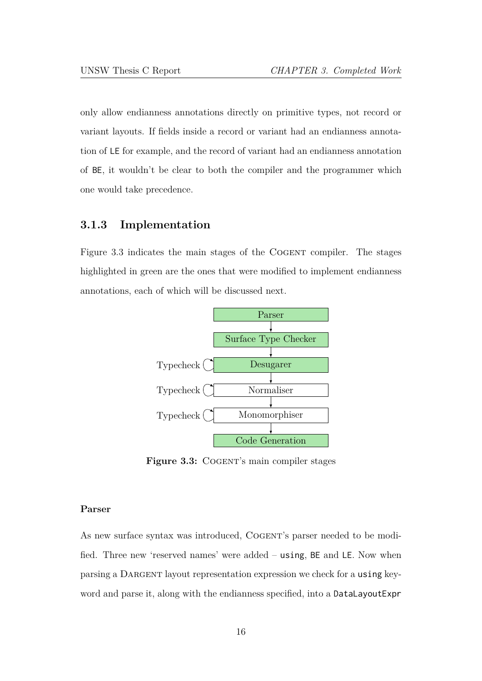only allow endianness annotations directly on primitive types, not record or variant layouts. If fields inside a record or variant had an endianness annotation of LE for example, and the record of variant had an endianness annotation of BE, it wouldn't be clear to both the compiler and the programmer which one would take precedence.

## **3.1.3 Implementation**

Figure 3.3 indicates the main stages of the COGENT compiler. The stages highlighted in green are the ones that were modified to implement endianness [annotation](#page-22-0)s, each of which will be discussed next.

<span id="page-22-0"></span>

**Figure 3.3:** COGENT's main compiler stages

#### **Parser**

As new surface syntax was introduced, COGENT's parser needed to be modified. Three new 'reserved names' were added – using, BE and LE. Now when parsing a DARGENT layout representation expression we check for a using keyword and parse it, along with the endianness specified, into a DataLayoutExpr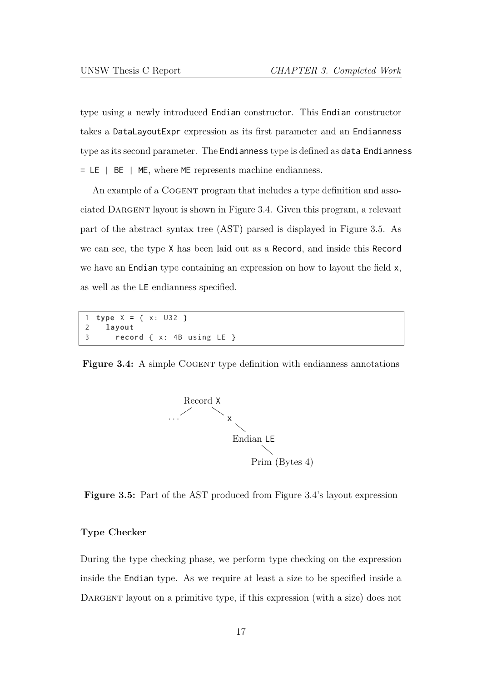type using a newly introduced Endian constructor. This Endian constructor takes a DataLayoutExpr expression as its first parameter and an Endianness type as its second parameter. The Endianness type is defined as data Endianness = LE | BE | ME, where ME represents machine endianness.

An example of a COGENT program that includes a type definition and associated DARGENT layout is shown in Figure 3.4. Given this program, a relevant part of the abstract syntax tree (AST) parsed is displayed in Figure 3.5. As we can see, the type X has been lai[d out as a](#page-23-0) Record, and inside this Record we have an Endian type containing an expression on how to la[yout the fie](#page-23-1)ld x, as well as the LE endianness specified.

```
1 type X = { x: U32 }
2 layout
3 record { x: 4B using LE }
```
<span id="page-23-1"></span><span id="page-23-0"></span>**Figure 3.4:** A simple COGENT type definition with endianness annotations



**Figure 3.5:** Part of the AST produced from Figure 3.4's layout expression

### **Type Checker**

During the type checking phase, we perform type checking on the expression inside the Endian type. As we require at least a size to be specified inside a DARGENT layout on a primitive type, if this expression (with a size) does not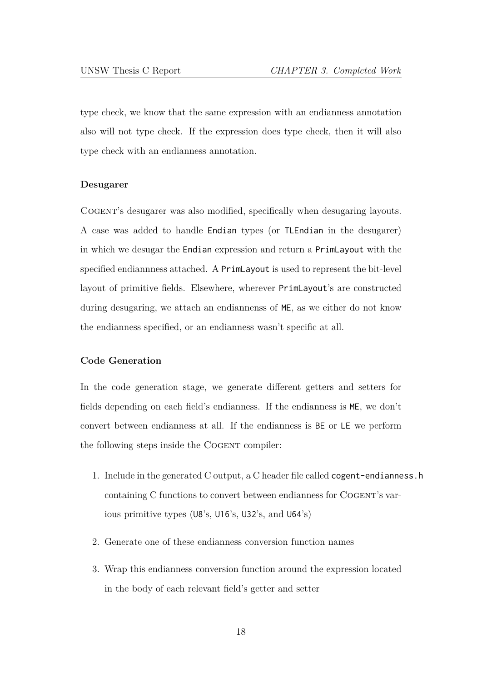type check, we know that the same expression with an endianness annotation also will not type check. If the expression does type check, then it will also type check with an endianness annotation.

### **Desugarer**

Cogent's desugarer was also modified, specifically when desugaring layouts. A case was added to handle Endian types (or TLEndian in the desugarer) in which we desugar the Endian expression and return a PrimLayout with the specified endiannness attached. A PrimLayout is used to represent the bit-level layout of primitive fields. Elsewhere, wherever PrimLayout's are constructed during desugaring, we attach an endiannenss of ME, as we either do not know the endianness specified, or an endianness wasn't specific at all.

### **Code Generation**

In the code generation stage, we generate different getters and setters for fields depending on each field's endianness. If the endianness is ME, we don't convert between endianness at all. If the endianness is BE or LE we perform the following steps inside the COGENT compiler:

- 1. Include in the generated C output, a C header file called cogent-endianness.h containing C functions to convert between endianness for COGENT's various primitive types (U8's, U16's, U32's, and U64's)
- 2. Generate one of these endianness conversion function names
- 3. Wrap this endianness conversion function around the expression located in the body of each relevant field's getter and setter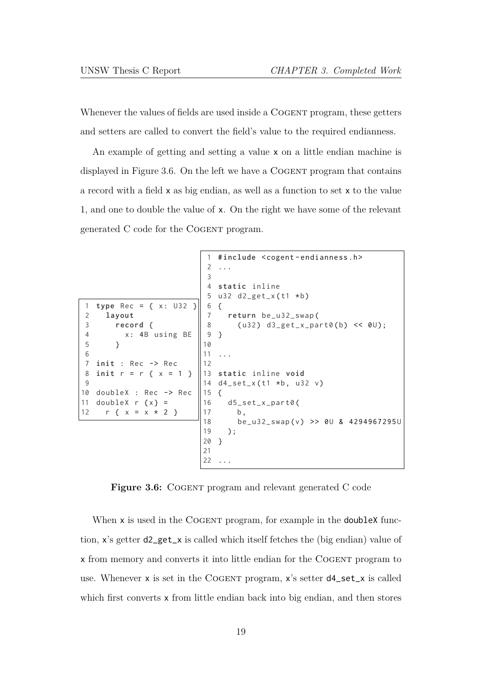Whenever the values of fields are used inside a COGENT program, these getters and setters are called to convert the field's value to the required endianness.

An example of getting and setting a value x on a little endian machine is displayed in Figure 3.6. On the left we have a COGENT program that contains a record with a field x as big endian, as well as a function to set x to the value 1, and one t[o double th](#page-25-0)e value of x. On the right we have some of the relevant generated C code for the COGENT program.

```
1 type Rec = { x: U32 }
2 layout
3 record {
4 x: 4B using BE
5 }
6
7 init : Rec -> Rec
8 init r = r { x = 1 }
9
10 doubleX : Rec -> Rec
11 doubleX r \{x\} =12 r \{ x = x * 2 \}1 # include < cogent - endianness .h >
                          2 ...
                          3
                          4 static inline
                          5 u32 d2\_get_x(t1 * b)6 {
                          7 return be_u32_swap (
                          8 ( u32 ) d3_get_x_part0 (b) << 0U);
                          9 }
                         10
                         11 ...
                         12
                         13 static inline void
                         14 d4_set_x (t1 *b, u32 v)
                         15 {
                         16 d5_set_x_part0 (
                         17 b,
                         18 be_u32_swap (v) >> 0U & 4294967295 U
                         19 );
                         20 }
                         21
                         22 ...
```
**Figure 3.6:** COGENT program and relevant generated C code

When x is used in the COGENT program, for example in the **doubleX** function, x's getter d2\_get\_x is called which itself fetches the (big endian) value of x from memory and converts it into little endian for the Cogent program to use. Whenever x is set in the COGENT program, x's setter  $d4$ -set\_x is called which first converts **x** from little endian back into big endian, and then stores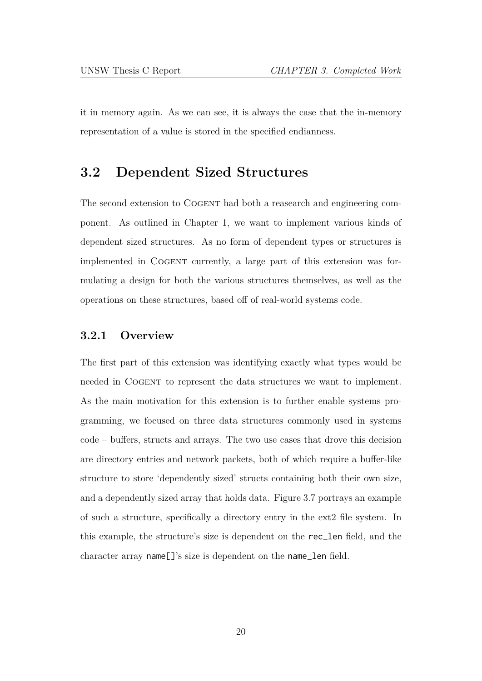it in memory again. As we can see, it is always the case that the in-memory representation of a value is stored in the specified endianness.

# **3.2 Dependent Sized Structures**

The second extension to Cogent had both a reasearch and engineering component. As outlined in Chapter 1, we want to implement various kinds of dependent sized structures. As no form of dependent types or structures is implemented in Cogent [currently](#page-7-0), a large part of this extension was formulating a design for both the various structures themselves, as well as the operations on these structures, based off of real-world systems code.

### **3.2.1 Overview**

The first part of this extension was identifying exactly what types would be needed in Cogent to represent the data structures we want to implement. As the main motivation for this extension is to further enable systems programming, we focused on three data structures commonly used in systems code – buffers, structs and arrays. The two use cases that drove this decision are directory entries and network packets, both of which require a buffer-like structure to store 'dependently sized' structs containing both their own size, and a dependently sized array that holds data. Figure 3.7 portrays an example of such a structure, specifically a directory entry in the ext2 file system. In this example, the structure's size is dependen[t on the](#page-27-0) rec\_len field, and the character array name[]'s size is dependent on the name\_len field.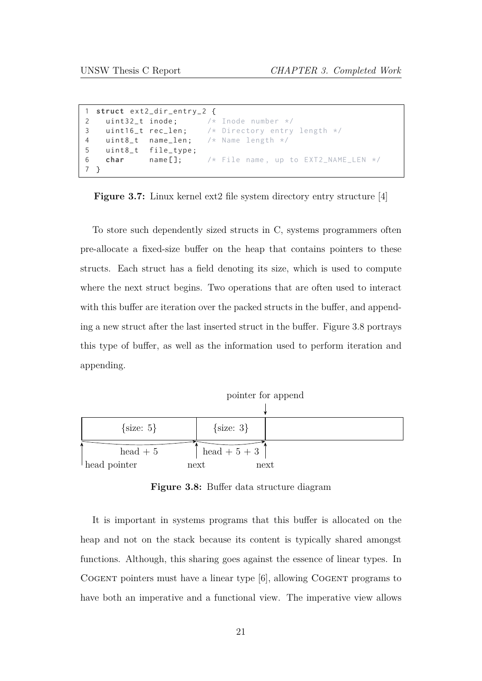<span id="page-27-0"></span>

|                                                 |                      | 1 struct ext2_dir_entry_2 { |                                                    |
|-------------------------------------------------|----------------------|-----------------------------|----------------------------------------------------|
|                                                 |                      |                             | 2 uint32_t inode; $\frac{1}{x}$ /* Inode number */ |
|                                                 |                      |                             |                                                    |
|                                                 |                      |                             | $\vert$ 4 uint8_t name_len; /* Name length */      |
|                                                 | 5 uint8_t file_type; |                             |                                                    |
|                                                 |                      |                             |                                                    |
| $\begin{array}{cccc}\n7 & \text{?} \end{array}$ |                      |                             |                                                    |

**Figure 3.7:** Linux kernel ext2 file system directory entry structure [4]

To store such dependently sized structs in C, systems programmers [o](#page-40-6)ften pre-allocate a fixed-size buffer on the heap that contains pointers to these structs. Each struct has a field denoting its size, which is used to compute where the next struct begins. Two operations that are often used to interact with this buffer are iteration over the packed structs in the buffer, and appending a new struct after the last inserted struct in the buffer. Figure 3.8 portrays this type of buffer, as well as the information used to perform iteration and appending.

<span id="page-27-1"></span>

**Figure 3.8:** Buffer data structure diagram

It is important in systems programs that this buffer is allocated on the heap and not on the stack because its content is typically shared amongst functions. Although, this sharing goes against the essence of linear types. In Cogent pointers must have a linear type [6], allowing Cogent programs to have both an imperative and a functional view. The imperative view allows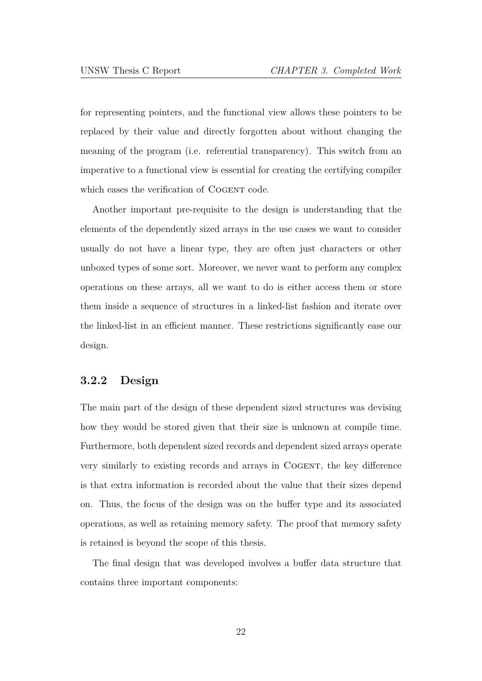for representing pointers, and the functional view allows these pointers to be replaced by their value and directly forgotten about without changing the meaning of the program (i.e. referential transparency). This switch from an imperative to a functional view is essential for creating the certifying compiler which eases the verification of COGENT code.

Another important pre-requisite to the design is understanding that the elements of the dependently sized arrays in the use cases we want to consider usually do not have a linear type, they are often just characters or other unboxed types of some sort. Moreover, we never want to perform any complex operations on these arrays, all we want to do is either access them or store them inside a sequence of structures in a linked-list fashion and iterate over the linked-list in an efficient manner. These restrictions significantly ease our design.

# <span id="page-28-0"></span>**3.2.2 Design**

The main part of the design of these dependent sized structures was devising how they would be stored given that their size is unknown at compile time. Furthermore, both dependent sized records and dependent sized arrays operate very similarly to existing records and arrays in Cogent, the key difference is that extra information is recorded about the value that their sizes depend on. Thus, the focus of the design was on the buffer type and its associated operations, as well as retaining memory safety. The proof that memory safety is retained is beyond the scope of this thesis.

The final design that was developed involves a buffer data structure that contains three important components: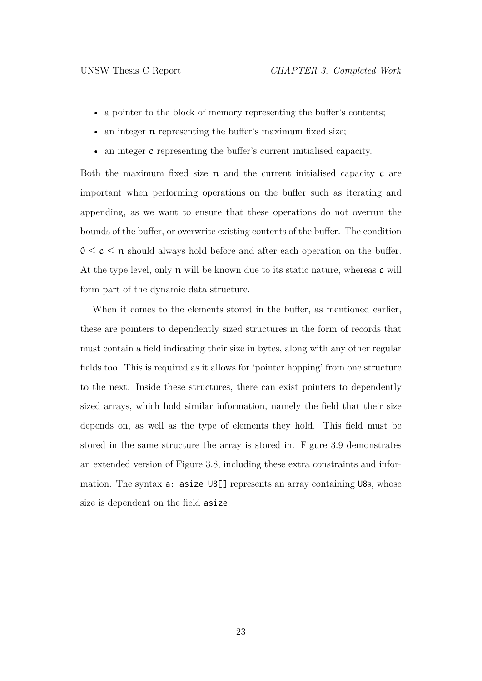- a pointer to the block of memory representing the buffer's contents;
- an integer  $\pi$  representing the buffer's maximum fixed size;
- an integer c representing the buffer's current initialised capacity.

Both the maximum fixed size  $\pi$  and the current initialised capacity  $c$  are important when performing operations on the buffer such as iterating and appending, as we want to ensure that these operations do not overrun the bounds of the buffer, or overwrite existing contents of the buffer. The condition  $0 \leq c \leq n$  should always hold before and after each operation on the buffer. At the type level, only n will be known due to its static nature, whereas c will form part of the dynamic data structure.

When it comes to the elements stored in the buffer, as mentioned earlier, these are pointers to dependently sized structures in the form of records that must contain a field indicating their size in bytes, along with any other regular fields too. This is required as it allows for 'pointer hopping' from one structure to the next. Inside these structures, there can exist pointers to dependently sized arrays, which hold similar information, namely the field that their size depends on, as well as the type of elements they hold. This field must be stored in the same structure the array is stored in. Figure 3.9 demonstrates an extended version of Figure 3.8, including these extra constraints and information. The syntax a: asize U8[] represents an arr[ay containi](#page-30-0)ng U8s, whose size is dependent on t[he field](#page-27-1) asize.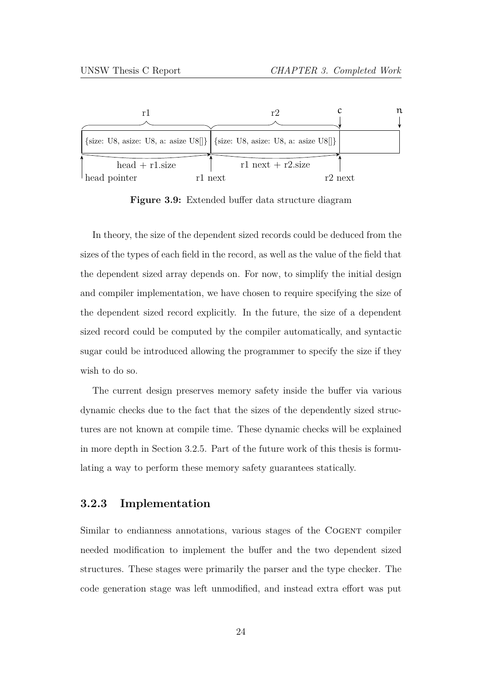<span id="page-30-0"></span>

**Figure 3.9:** Extended buffer data structure diagram

In theory, the size of the dependent sized records could be deduced from the sizes of the types of each field in the record, as well as the value of the field that the dependent sized array depends on. For now, to simplify the initial design and compiler implementation, we have chosen to require specifying the size of the dependent sized record explicitly. In the future, the size of a dependent sized record could be computed by the compiler automatically, and syntactic sugar could be introduced allowing the programmer to specify the size if they wish to do so.

The current design preserves memory safety inside the buffer via various dynamic checks due to the fact that the sizes of the dependently sized structures are not known at compile time. These dynamic checks will be explained in more depth in Section 3.2.5. Part of the future work of this thesis is formulating a way to perform these memory safety guarantees statically.

## **3.2.3 Implementation**

Similar to endianness annotations, various stages of the COGENT compiler needed modification to implement the buffer and the two dependent sized structures. These stages were primarily the parser and the type checker. The code generation stage was left unmodified, and instead extra effort was put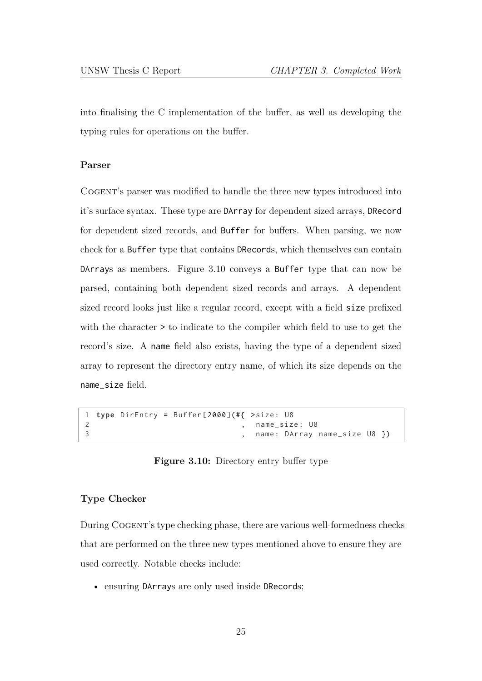into finalising the C implementation of the buffer, as well as developing the typing rules for operations on the buffer.

### **Parser**

Cogent's parser was modified to handle the three new types introduced into it's surface syntax. These type are DArray for dependent sized arrays, DRecord for dependent sized records, and Buffer for buffers. When parsing, we now check for a Buffer type that contains DRecords, which themselves can contain DArrays as members. Figure 3.10 conveys a Buffer type that can now be parsed, containing both dependent sized records and arrays. A dependent sized record looks just [like a regula](#page-31-0)r record, except with a field size prefixed with the character > to indicate to the compiler which field to use to get the record's size. A name field also exists, having the type of a dependent sized array to represent the directory entry name, of which its size depends on the name\_size field.

```
1 type DirEntry = Buffer [2000](#{ >size : U8
2 , name_size : U8
3 and 1 and 1 and 1 and 1 and 1 and 1 and 1 and 1 and 1 and 1 and 1 and 1 and 1 and 1 and 1 and 1 and 1 and 1 and 1 and 1 and 1 and 1 and 1 and 1 and 1 and 1 and 1 and 1 and 1 and 1 and 1 and 1 and 1 and 1 and 1 and 1 and
```
**Figure 3.10:** Directory entry buffer type

### **Type Checker**

During Cogent's type checking phase, there are various well-formedness checks that are performed on the three new types mentioned above to ensure they are used correctly. Notable checks include:

• ensuring DArrays are only used inside DRecords;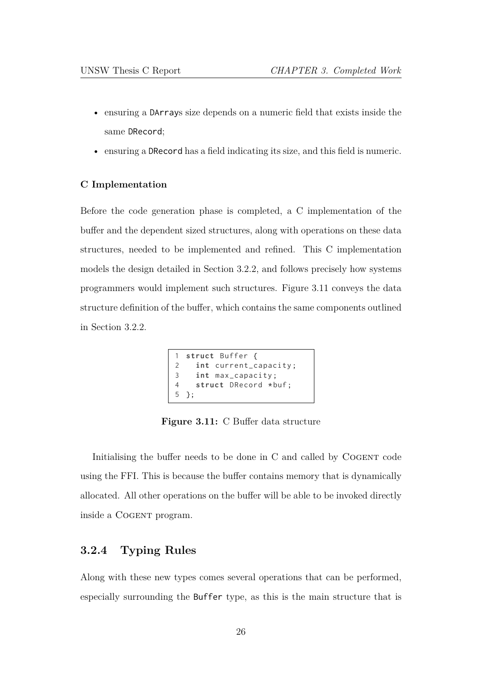- ensuring a DArrays size depends on a numeric field that exists inside the same DRecord;
- ensuring a DRecord has a field indicating its size, and this field is numeric.

#### **C Implementation**

Before the code generation phase is completed, a C implementation of the buffer and the dependent sized structures, along with operations on these data structures, needed to be implemented and refined. This C implementation models the design detailed in Section 3.2.2, and follows precisely how systems programmers would implement such structures. Figure 3.11 conveys the data structure definition of the buff[er, which cont](#page-28-0)ains the same components outlined in Section 3.2.2.

```
1 struct Buffer {
2 int current_capacity ;
3 int max_capacity ;
4 struct DRecord *buf;
5 };
```
**Figure 3.11:** C Buffer data structure

Initialising the buffer needs to be done in C and called by COGENT code using the FFI. This is because the buffer contains memory that is dynamically allocated. All other operations on the buffer will be able to be invoked directly inside a COGENT program.

# **3.2.4 Typing Rules**

Along with these new types comes several operations that can be performed, especially surrounding the Buffer type, as this is the main structure that is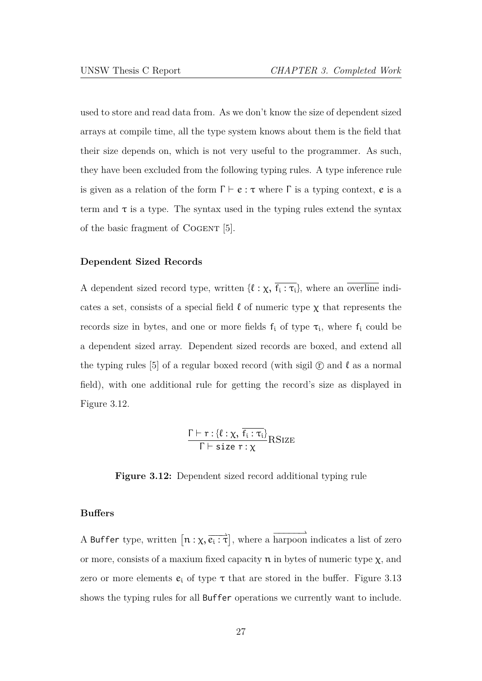used to store and read data from. As we don't know the size of dependent sized arrays at compile time, all the type system knows about them is the field that their size depends on, which is not very useful to the programmer. As such, they have been excluded from the following typing rules. A type inference rule is given as a relation of the form  $\Gamma \vdash e : \tau$  where  $\Gamma$  is a typing context, e is a term and  $\tau$  is a type. The syntax used in the typing rules extend the syntax of the basic fragment of COGENT [5].

#### **Dependent Sized Records**

A dependent sized record type, written  $\{\ell : \chi, \overline{f_i : \tau_i}\}\$ , where an overline indicates a set, consists of a special field  $\ell$  of numeric type  $\chi$  that represents the records size in bytes, and one or more fields  $f_i$  of type  $\tau_i$ , where  $f_i$  could be a dependent sized array. Dependent sized records are boxed, and extend all the typing rules [5] of a regular boxed record (with sigil  $\mathbb{C}$  and  $\ell$  as a normal field), with one additional rule for getting the record's size as displayed in Figure 3.12.

$$
\frac{\Gamma \vdash r : \{\ell : \chi, \overline{f_i : \tau_i}\}}{\Gamma \vdash \text{size } r : \chi} \text{RSIZE}
$$

**Figure 3.12:** Dependent sized record additional typing rule

#### **Buffers**

A Buffer type, written  $\left[ n : \chi, \overrightarrow{e_i : \tau} \right]$ , where a harpoon indicates a list of zero or more, consists of a maxium fixed capacity  $n$  in bytes of numeric type  $\chi$ , and zero or more elements  $e_i$  of type  $\tau$  that are stored in the buffer. Figure 3.13 shows the typing rules for all Buffer operations we currently want to include.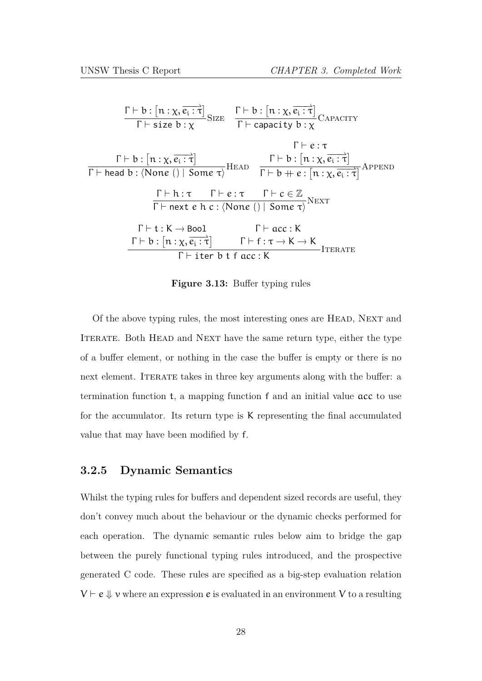| $\frac{\Gamma \vdash b : [n : \chi, \overrightarrow{e_i : \tau}]}{\Gamma \vdash \text{size } b : \chi} \text{Size} \quad \frac{\Gamma \vdash b : [n : \chi, \overrightarrow{e_i : \tau}]}{\Gamma \vdash \text{capacity } b : \chi} \text{CAPACITY}$                                                                                                              |
|------------------------------------------------------------------------------------------------------------------------------------------------------------------------------------------------------------------------------------------------------------------------------------------------------------------------------------------------------------------|
| $\Gamma \vdash e : \tau$<br>$\frac{\Gamma \vdash b : [n : \chi, \overrightarrow{e_i : \tau}] }{\Gamma \vdash \mathsf{head}\ b : \langle \mathsf{None}\ () \mid \mathsf{Some}\ \tau \rangle} \mathsf{HEAD} \quad \frac{\Gamma \vdash b : [n : \chi, \overrightarrow{e_i : \tau}]}{\Gamma \vdash b + e : [n : \chi, \overrightarrow{e_i : \tau}]} \mathsf{APPEND}$ |
| $\frac{\Gamma\vdash h:\tau\qquad \Gamma\vdash e:\tau\qquad \Gamma\vdash c\in\mathbb{Z}}{\Gamma\vdash \mathsf{next}\; e\; h\; c:\langle\mathsf{None}\;()\; \;\mathsf{Some}\;\tau\rangle}\mathsf{Next}$                                                                                                                                                            |
| $\Gamma \vdash t : K \rightarrow \text{Bool}$<br>$\Gamma$ $\vdash$ acc : K<br>$\Gamma \vdash b : [n : \chi, \overrightarrow{e_i : \tau}] \qquad \Gamma \vdash f : \tau \to K \to K$<br><b>ITERATE</b><br>$\Gamma$ + iter b t f acc: K                                                                                                                            |

**Figure 3.13:** Buffer typing rules

Of the above typing rules, the most interesting ones are Head, Next and ITERATE. Both HEAD and NEXT have the same return type, either the type of a buffer element, or nothing in the case the buffer is empty or there is no next element. ITERATE takes in three key arguments along with the buffer: a termination function t, a mapping function f and an initial value acc to use for the accumulator. Its return type is K representing the final accumulated value that may have been modified by f.

### <span id="page-34-0"></span>**3.2.5 Dynamic Semantics**

Whilst the typing rules for buffers and dependent sized records are useful, they don't convey much about the behaviour or the dynamic checks performed for each operation. The dynamic semantic rules below aim to bridge the gap between the purely functional typing rules introduced, and the prospective generated C code. These rules are specified as a big-step evaluation relation  $V \vdash e \Downarrow v$  where an expression e is evaluated in an environment V to a resulting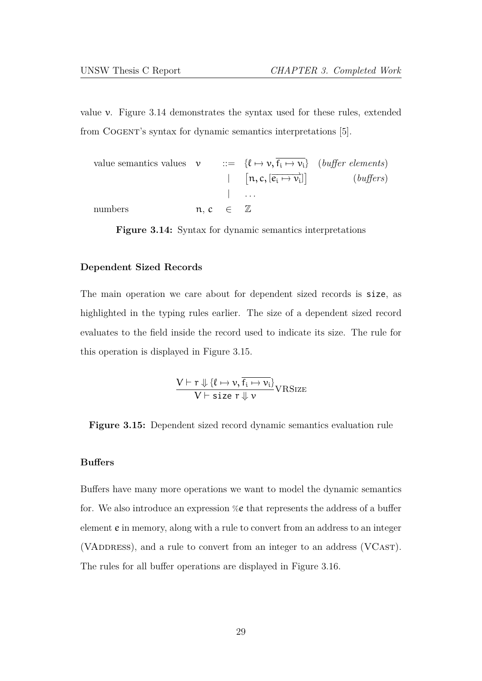value v. Figure 3.14 demonstrates the syntax used for these rules, extended from Cogent's syntax for dynamic semantics interpretations [5].

value semantics values 
$$
\nu
$$
 ::= { $\ell \mapsto \nu, \overline{f_i \mapsto \nu_i}$ } (*buffer elements*)  
\n|- [n, c, [ $\overline{e_i \mapsto \nu_i}$ ]] (*buffer elements*)  
\n| ...  
\nnumbers  $\mathbf{n}, \mathbf{c} \in \mathbb{Z}$ 

**Figure 3.14:** Syntax for dynamic semantics interpretations

### **Dependent Sized Records**

The main operation we care about for dependent sized records is size, as highlighted in the typing rules earlier. The size of a dependent sized record evaluates to the field inside the record used to indicate its size. The rule for this operation is displayed in Figure 3.15.

$$
\frac{V \vdash r \Downarrow \{\ell \mapsto v, \overline{f_i \mapsto v_i}\}}{V \vdash \text{size } r \Downarrow v} \text{VRSize}
$$

<span id="page-35-0"></span>**Figure 3.15:** Dependent sized record dynamic semantics evaluation rule

#### **Buffers**

Buffers have many more operations we want to model the dynamic semantics for. We also introduce an expression %e that represents the address of a buffer element e in memory, along with a rule to convert from an address to an integer (VADDRESS), and a rule to convert from an integer to an address (VCAST). The rules for all buffer operations are displayed in Figure 3.16.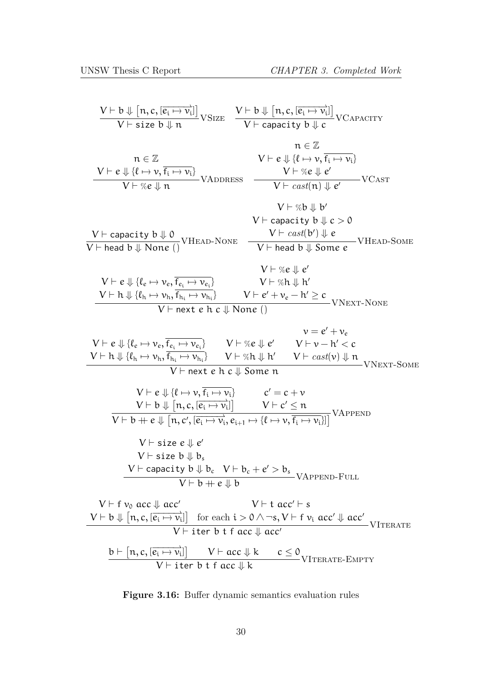$$
\frac{V \vdash b \Downarrow [n, c, [\overline{e_i \leftrightarrow v_i]}]}{V \vdash size b \Downarrow n} \nabla SIZE \quad \frac{V \vdash b \Downarrow [n, c, [\overline{e_i \leftrightarrow v_i]}]}{V \vdash capacity b \Downarrow c} \nabla CAPACITY\n\neq \overline{e} \nabla \overline{e} \nabla \overline{e} \nabla \overline{e} \nabla \overline{e} \nabla \overline{e} \nabla \overline{e} \nabla \overline{e} \nabla \overline{e} \nabla \overline{e} \nabla \overline{e} \nabla \overline{e} \nabla \overline{e} \nabla \overline{e} \nabla \overline{e} \nabla \overline{e} \nabla \overline{e} \nabla \overline{e} \nabla \overline{e} \nabla \overline{e} \nabla \overline{e} \nabla \overline{e} \nabla \overline{e} \nabla \overline{e} \nabla \overline{e} \nabla \overline{e} \nabla \overline{e} \nabla \overline{e} \nabla \overline{e} \nabla \overline{e} \nabla \overline{e} \nabla \overline{e} \nabla \overline{e} \nabla \overline{e} \nabla \overline{e} \nabla \overline{e} \nabla \overline{e} \nabla \overline{e} \nabla \overline{e} \nabla \overline{e} \nabla \overline{e} \nabla \overline{e} \nabla \overline{e} \nabla \overline{e} \nabla \overline{e} \nabla \overline{e} \nabla \overline{e} \nabla \overline{e} \nabla \overline{e} \nabla \overline{e} \nabla \overline{e} \nabla \overline{e} \nabla \overline{e} \nabla \overline{e} \nabla \overline{e} \nabla \overline{e} \nabla \overline{e} \nabla \overline{e} \nabla \overline{e} \nabla \overline{e} \nabla \overline{e} \nabla \overline{e} \nabla \overline{e} \nabla \overline{e} \nabla \overline{e} \nabla \overline{e} \nabla
$$

**Figure 3.16:** Buffer dynamic semantics evaluation rules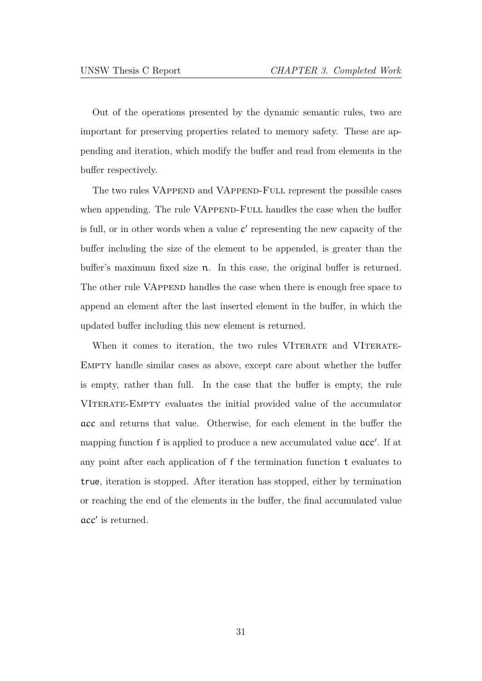Out of the operations presented by the dynamic semantic rules, two are important for preserving properties related to memory safety. These are appending and iteration, which modify the buffer and read from elements in the buffer respectively.

The two rules VAPPEND and VAPPEND-FULL represent the possible cases when appending. The rule VAPPEND-FULL handles the case when the buffer is full, or in other words when a value c *′* representing the new capacity of the buffer including the size of the element to be appended, is greater than the buffer's maximum fixed size n. In this case, the original buffer is returned. The other rule VAPPEND handles the case when there is enough free space to append an element after the last inserted element in the buffer, in which the updated buffer including this new element is returned.

When it comes to iteration, the two rules VITERATE and VITERATE-Empty handle similar cases as above, except care about whether the buffer is empty, rather than full. In the case that the buffer is empty, the rule VITERATE-EMPTY evaluates the initial provided value of the accumulator acc and returns that value. Otherwise, for each element in the buffer the mapping function f is applied to produce a new accumulated value acc*′* . If at any point after each application of f the termination function t evaluates to true, iteration is stopped. After iteration has stopped, either by termination or reaching the end of the elements in the buffer, the final accumulated value acc*′* is returned.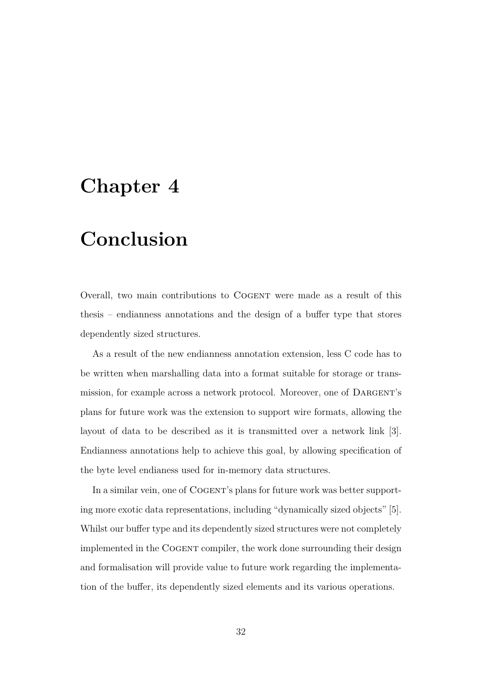# **Chapter 4**

# **Conclusion**

Overall, two main contributions to COGENT were made as a result of this thesis – endianness annotations and the design of a buffer type that stores dependently sized structures.

As a result of the new endianness annotation extension, less C code has to be written when marshalling data into a format suitable for storage or transmission, for example across a network protocol. Moreover, one of DARGENT's plans for future work was the extension to support wire formats, allowing the layout of data to be described as it is transmitted over a network link [3]. Endianness annotations help to achieve this goal, by allowing specification of the byte level endianess used for in-memory data structures.

In a similar vein, one of COGENT's plans for future work was better supporting more exotic data representations, including "dynamically sized objects" [5]. Whilst our buffer type and its dependently sized structures were not completely implemented in the Cogent compiler, the work done surrounding their desi[gn](#page-40-2) and formalisation will provide value to future work regarding the implementation of the buffer, its dependently sized elements and its various operations.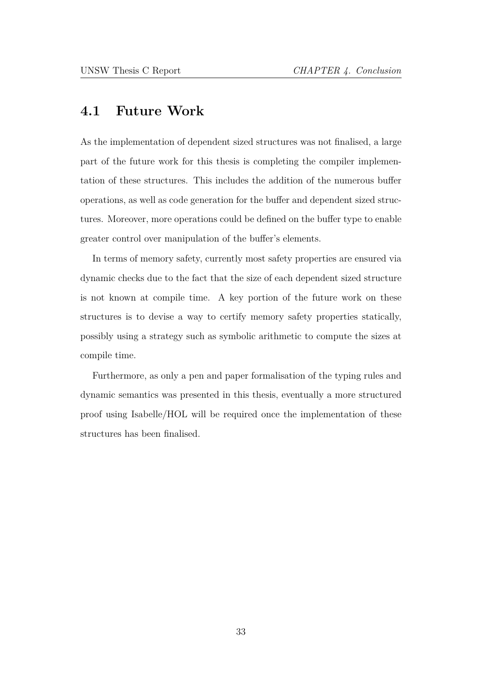# <span id="page-39-0"></span>**4.1 Future Work**

As the implementation of dependent sized structures was not finalised, a large part of the future work for this thesis is completing the compiler implementation of these structures. This includes the addition of the numerous buffer operations, as well as code generation for the buffer and dependent sized structures. Moreover, more operations could be defined on the buffer type to enable greater control over manipulation of the buffer's elements.

In terms of memory safety, currently most safety properties are ensured via dynamic checks due to the fact that the size of each dependent sized structure is not known at compile time. A key portion of the future work on these structures is to devise a way to certify memory safety properties statically, possibly using a strategy such as symbolic arithmetic to compute the sizes at compile time.

Furthermore, as only a pen and paper formalisation of the typing rules and dynamic semantics was presented in this thesis, eventually a more structured proof using Isabelle/HOL will be required once the implementation of these structures has been finalised.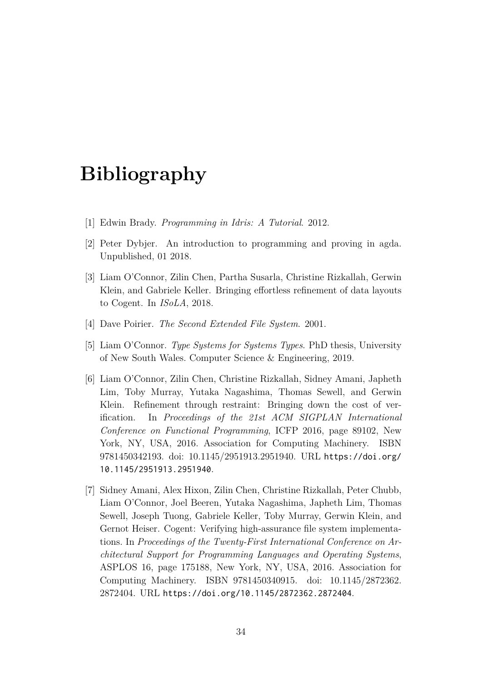# **Bibliography**

- [1] Edwin Brady. *Programming in Idris: A Tutorial*. 2012.
- <span id="page-40-4"></span>[2] Peter Dybjer. An introduction to programming and proving in agda. Unpublished, 01 2018.
- <span id="page-40-5"></span>[3] Liam O'Connor, Zilin Chen, Partha Susarla, Christine Rizkallah, Gerwin Klein, and Gabriele Keller. Bringing effortless refinement of data layouts to Cogent. In *ISoLA*, 2018.
- <span id="page-40-0"></span>[4] Dave Poirier. *The Second Extended File System*. 2001.
- <span id="page-40-6"></span>[5] Liam O'Connor. *Type Systems for Systems Types*. PhD thesis, University of New South Wales. Computer Science & Engineering, 2019.
- <span id="page-40-2"></span><span id="page-40-1"></span>[6] Liam O'Connor, Zilin Chen, Christine Rizkallah, Sidney Amani, Japheth Lim, Toby Murray, Yutaka Nagashima, Thomas Sewell, and Gerwin Klein. Refinement through restraint: Bringing down the cost of verification. In *Proceedings of the 21st ACM SIGPLAN International Conference on Functional Programming*, ICFP 2016, page 89102, New York, NY, USA, 2016. Association for Computing Machinery. ISBN 9781450342193. doi: 10.1145/2951913.2951940. URL https://doi.org/ 10.1145/2951913.2951940.
- <span id="page-40-3"></span>[7] Sidney Amani, Alex Hixon, Zilin Chen, Christine Rizkallah, Peter Chubb, Liam O'Connor, Joel Beeren, Yutaka Nagashima, Ja[pheth Lim, Thomas](https://doi.org/10.1145/2951913.2951940) [Sewell, Joseph Tuong, Gab](https://doi.org/10.1145/2951913.2951940)riele Keller, Toby Murray, Gerwin Klein, and Gernot Heiser. Cogent: Verifying high-assurance file system implementations. In *Proceedings of the Twenty-First International Conference on Architectural Support for Programming Languages and Operating Systems*, ASPLOS 16, page 175188, New York, NY, USA, 2016. Association for Computing Machinery. ISBN 9781450340915. doi: 10.1145/2872362. 2872404. URL https://doi.org/10.1145/2872362.2872404.